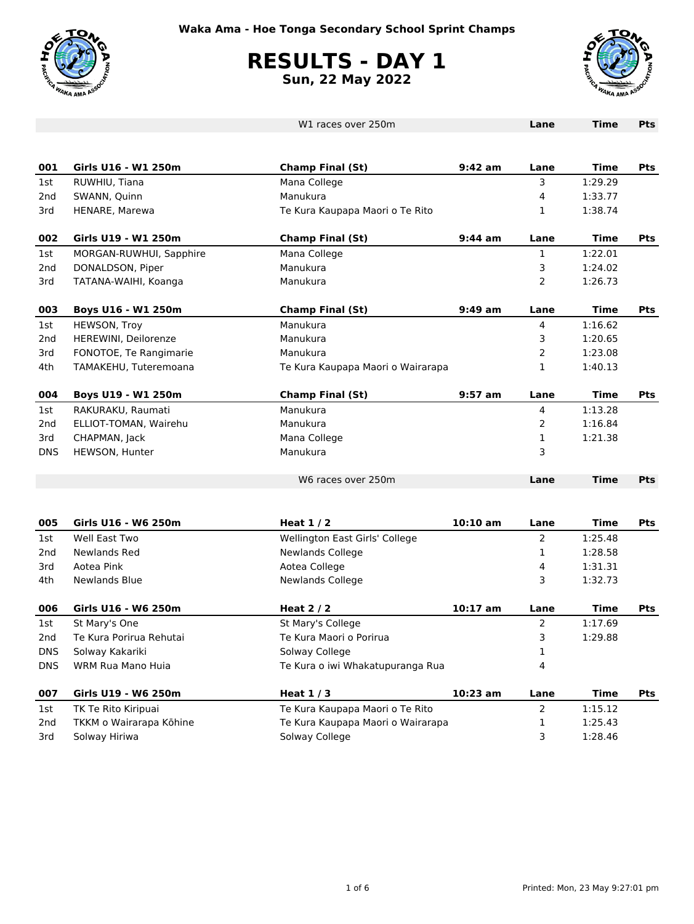



|                 |                         | W1 races over 250m                |            | Lane           | Time        | Pts |
|-----------------|-------------------------|-----------------------------------|------------|----------------|-------------|-----|
|                 |                         |                                   |            |                |             |     |
| 001             | Girls U16 - W1 250m     | <b>Champ Final (St)</b>           | 9:42 am    | Lane           | <b>Time</b> | Pts |
| 1st             | RUWHIU, Tiana           | Mana College                      |            | 3              | 1:29.29     |     |
| 2 <sub>nd</sub> | SWANN, Quinn            | Manukura                          |            | 4              | 1:33.77     |     |
| 3rd             | <b>HENARE, Marewa</b>   | Te Kura Kaupapa Maori o Te Rito   |            | 1              | 1:38.74     |     |
| 002             | Girls U19 - W1 250m     | <b>Champ Final (St)</b>           | 9:44 am    | Lane           | Time        | Pts |
| 1st             | MORGAN-RUWHUI, Sapphire | Mana College                      |            | $\mathbf{1}$   | 1:22.01     |     |
| 2nd             | DONALDSON, Piper        | Manukura                          |            | 3              | 1:24.02     |     |
| 3rd             | TATANA-WAIHI, Koanga    | Manukura                          |            | 2              | 1:26.73     |     |
| 003             | Boys U16 - W1 250m      | <b>Champ Final (St)</b>           | 9:49 am    | Lane           | Time        | Pts |
| 1st             | HEWSON, Troy            | Manukura                          |            | $\overline{4}$ | 1:16.62     |     |
| 2 <sub>nd</sub> | HEREWINI, Deilorenze    | Manukura                          |            | 3              | 1:20.65     |     |
| 3rd             | FONOTOE, Te Rangimarie  | Manukura                          |            | 2              | 1:23.08     |     |
| 4th             | TAMAKEHU, Tuteremoana   | Te Kura Kaupapa Maori o Wairarapa |            | $\mathbf{1}$   | 1:40.13     |     |
| 004             | Boys U19 - W1 250m      | <b>Champ Final (St)</b>           | $9:57$ am  | Lane           | <b>Time</b> | Pts |
| 1st             | RAKURAKU, Raumati       | Manukura                          |            | $\overline{4}$ | 1:13.28     |     |
| 2nd             | ELLIOT-TOMAN, Wairehu   | Manukura                          |            | $\overline{2}$ | 1:16.84     |     |
| 3rd             | CHAPMAN, Jack           | Mana College                      |            | 1              | 1:21.38     |     |
| <b>DNS</b>      | HEWSON, Hunter          | Manukura                          |            | 3              |             |     |
|                 |                         |                                   |            |                |             |     |
|                 |                         | W6 races over 250m                |            | Lane           | Time        | Pts |
|                 |                         |                                   |            |                |             |     |
| 005             | Girls U16 - W6 250m     | Heat $1/2$                        | $10:10$ am | Lane           | Time        | Pts |
| 1st             | Well East Two           | Wellington East Girls' College    |            | 2              | 1:25.48     |     |
| 2nd             | Newlands Red            | Newlands College                  |            | $\mathbf{1}$   | 1:28.58     |     |
| 3rd             | Aotea Pink              | Aotea College                     |            | 4              | 1:31.31     |     |
| 4th             | Newlands Blue           | Newlands College                  |            | 3              | 1:32.73     |     |
| 006             | Girls U16 - W6 250m     | Heat $2/2$                        | $10:17$ am | Lane           | Time        | Pts |
| 1st             | St Mary's One           | St Mary's College                 |            | 2              | 1:17.69     |     |
| 2nd             | Te Kura Porirua Rehutai | Te Kura Maori o Porirua           |            | 3.             | 1:29.88     |     |
| <b>DNS</b>      | Solway Kakariki         | Solway College                    |            | 1              |             |     |
| <b>DNS</b>      | WRM Rua Mano Huia       | Te Kura o iwi Whakatupuranga Rua  |            | 4              |             |     |
| 007             | Girls U19 - W6 250m     | Heat $1/3$                        | $10:23$ am | Lane           | <b>Time</b> | Pts |
| 1st             | TK Te Rito Kiripuai     | Te Kura Kaupapa Maori o Te Rito   |            | 2              | 1:15.12     |     |
| 2nd             | TKKM o Wairarapa Kōhine | Te Kura Kaupapa Maori o Wairarapa |            | 1              | 1:25.43     |     |
| 3rd             | Solway Hiriwa           | Solway College                    |            | 3              | 1:28.46     |     |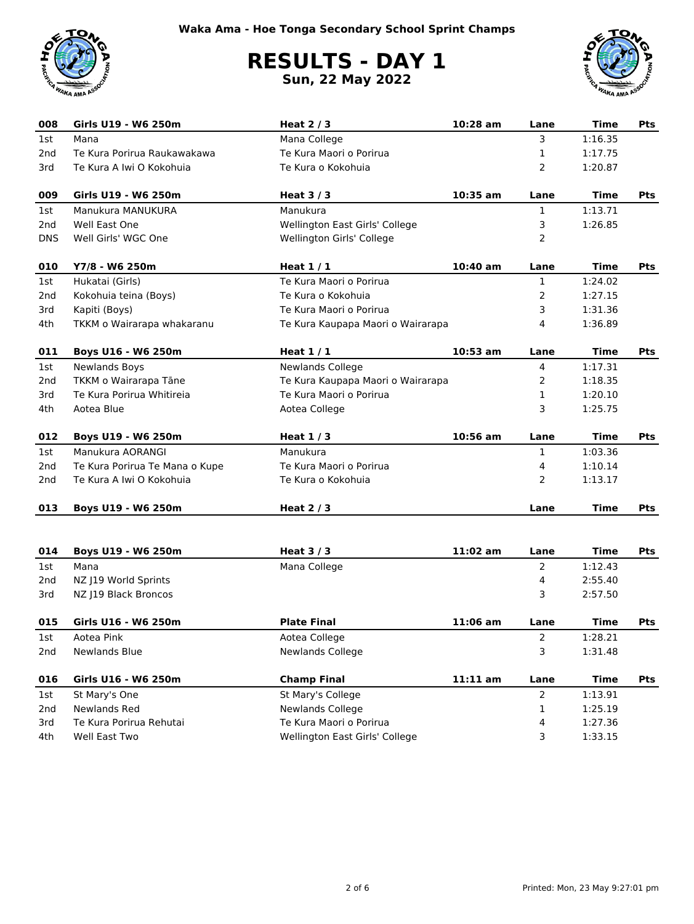



| 008             | Girls U19 - W6 250m            | Heat $2/3$                        | 10:28 am   | Lane           | <b>Time</b> | <b>Pts</b> |
|-----------------|--------------------------------|-----------------------------------|------------|----------------|-------------|------------|
| 1st             | Mana                           | Mana College                      |            | 3              | 1:16.35     |            |
| 2nd             | Te Kura Porirua Raukawakawa    | Te Kura Maori o Porirua           |            | 1              | 1:17.75     |            |
| 3rd             | Te Kura A Iwi O Kokohuia       | Te Kura o Kokohuia                |            | 2              | 1:20.87     |            |
| 009             | Girls U19 - W6 250m            | Heat $3/3$                        | $10:35$ am | Lane           | <b>Time</b> | Pts        |
| 1st             | Manukura MANUKURA              | Manukura                          |            | 1              | 1:13.71     |            |
| 2 <sub>nd</sub> | Well East One                  | Wellington East Girls' College    |            | 3              | 1:26.85     |            |
| <b>DNS</b>      | Well Girls' WGC One            | Wellington Girls' College         |            | 2              |             |            |
| 010             | Y7/8 - W6 250m                 | Heat $1/1$                        | 10:40 am   | Lane           | <b>Time</b> | Pts        |
| 1st             | Hukatai (Girls)                | Te Kura Maori o Porirua           |            | 1              | 1:24.02     |            |
| 2nd             | Kokohuia teina (Boys)          | Te Kura o Kokohuia                |            | 2              | 1:27.15     |            |
| 3rd             | Kapiti (Boys)                  | Te Kura Maori o Porirua           |            | 3              | 1:31.36     |            |
| 4th             | TKKM o Wairarapa whakaranu     | Te Kura Kaupapa Maori o Wairarapa |            | 4              | 1:36.89     |            |
| 011             | Boys U16 - W6 250m             | Heat $1/1$                        | $10:53$ am | Lane           | Time        | <b>Pts</b> |
| 1st             | <b>Newlands Boys</b>           | Newlands College                  |            | 4              | 1:17.31     |            |
| 2nd             | TKKM o Wairarapa Tāne          | Te Kura Kaupapa Maori o Wairarapa |            | 2              | 1:18.35     |            |
| 3rd             | Te Kura Porirua Whitireia      | Te Kura Maori o Porirua           |            | 1              | 1:20.10     |            |
| 4th             | Aotea Blue                     | Aotea College                     |            | 3              | 1:25.75     |            |
| 012             | Boys U19 - W6 250m             | Heat $1/3$                        | $10:56$ am | Lane           | Time        | Pts        |
| 1st             | Manukura AORANGI               | Manukura                          |            | $\mathbf{1}$   | 1:03.36     |            |
| 2 <sub>nd</sub> | Te Kura Porirua Te Mana o Kupe | Te Kura Maori o Porirua           |            | 4              | 1:10.14     |            |
| 2 <sub>nd</sub> | Te Kura A Iwi O Kokohuia       | Te Kura o Kokohuia                |            | 2              | 1:13.17     |            |
| 013             | Boys U19 - W6 250m             | Heat $2/3$                        |            | Lane           | Time        | <b>Pts</b> |
|                 |                                |                                   |            |                |             |            |
| 014             | Boys U19 - W6 250m             | Heat $3/3$                        | $11:02$ am | Lane           | Time        | <b>Pts</b> |
| 1st             | Mana                           | Mana College                      |            | $\overline{2}$ | 1:12.43     |            |
| 2 <sub>nd</sub> | NZ J19 World Sprints           |                                   |            | 4              | 2:55.40     |            |
| 3rd             | NZ J19 Black Broncos           |                                   |            | 3              | 2:57.50     |            |
| 015             | Girls U16 - W6 250m            | <b>Plate Final</b>                | 11:06 am   | Lane           | <b>Time</b> | Pts        |
| 1st             | Aotea Pink                     | Aotea College                     |            | 2              | 1:28.21     |            |
| 2nd             | Newlands Blue                  | Newlands College                  |            | 3              | 1:31.48     |            |
| 016             | Girls U16 - W6 250m            | <b>Champ Final</b>                | $11:11$ am | Lane           | <b>Time</b> | Pts        |
| 1st             | St Mary's One                  | St Mary's College                 |            | 2              | 1:13.91     |            |
| 2 <sub>nd</sub> | Newlands Red                   | Newlands College                  |            | 1              | 1:25.19     |            |
| 3rd             | Te Kura Porirua Rehutai        | Te Kura Maori o Porirua           |            | 4              | 1:27.36     |            |
| 4th             | Well East Two                  | Wellington East Girls' College    |            | 3              | 1:33.15     |            |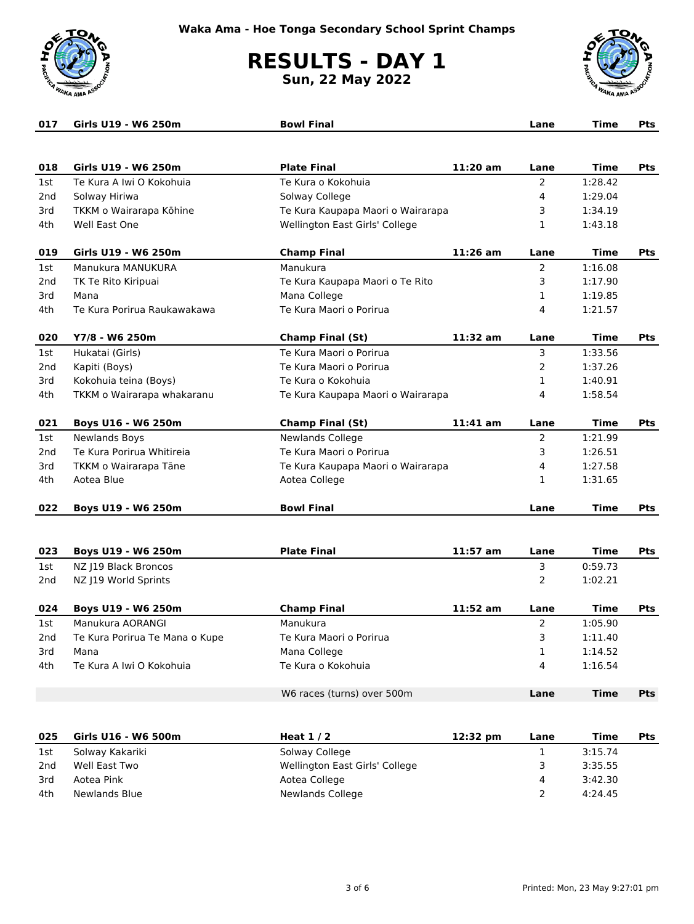



| 017             | Girls U19 - W6 250m            | <b>Bowl Final</b>                 |            | Lane           | Time        | <b>Pts</b> |
|-----------------|--------------------------------|-----------------------------------|------------|----------------|-------------|------------|
|                 |                                |                                   |            |                |             |            |
| 018             | Girls U19 - W6 250m            | <b>Plate Final</b>                | $11:20$ am | Lane           | Time        | <b>Pts</b> |
| 1st             | Te Kura A Iwi O Kokohuia       | Te Kura o Kokohuja                |            | 2              | 1:28.42     |            |
| 2nd             | Solway Hiriwa                  | Solway College                    |            | 4              | 1:29.04     |            |
| 3rd             | TKKM o Wairarapa Kōhine        | Te Kura Kaupapa Maori o Wairarapa |            | 3              | 1:34.19     |            |
| 4th             | Well East One                  | Wellington East Girls' College    |            | $\mathbf{1}$   | 1:43.18     |            |
| 019             | Girls U19 - W6 250m            | <b>Champ Final</b>                | 11:26 am   | Lane           | Time        | Pts        |
| 1st             | Manukura MANUKURA              | Manukura                          |            | 2              | 1:16.08     |            |
| 2nd             | TK Te Rito Kiripuai            | Te Kura Kaupapa Maori o Te Rito   |            | 3              | 1:17.90     |            |
| 3rd             | Mana                           | Mana College                      |            | $\mathbf{1}$   | 1:19.85     |            |
| 4th             | Te Kura Porirua Raukawakawa    | Te Kura Maori o Porirua           |            | 4              | 1:21.57     |            |
| 020             | Y7/8 - W6 250m                 | <b>Champ Final (St)</b>           | 11:32 am   | Lane           | Time        | Pts        |
| 1st             | Hukatai (Girls)                | Te Kura Maori o Porirua           |            | 3              | 1:33.56     |            |
| 2nd             | Kapiti (Boys)                  | Te Kura Maori o Porirua           |            | 2              | 1:37.26     |            |
| 3rd             | Kokohuia teina (Boys)          | Te Kura o Kokohuja                |            | 1              | 1:40.91     |            |
| 4th             | TKKM o Wairarapa whakaranu     | Te Kura Kaupapa Maori o Wairarapa |            | 4              | 1:58.54     |            |
| 021             | Boys U16 - W6 250m             | <b>Champ Final (St)</b>           | 11:41 am   | Lane           | Time        | Pts        |
| 1st             | <b>Newlands Boys</b>           | Newlands College                  |            | $\overline{2}$ | 1:21.99     |            |
| 2nd             | Te Kura Porirua Whitireia      | Te Kura Maori o Porirua           |            | 3              | 1:26.51     |            |
| 3rd             | TKKM o Wairarapa Tāne          | Te Kura Kaupapa Maori o Wairarapa |            | 4              | 1:27.58     |            |
| 4th             | Aotea Blue                     | Aotea College                     |            | 1              | 1:31.65     |            |
| 022             | Boys U19 - W6 250m             | <b>Bowl Final</b>                 |            | Lane           | <b>Time</b> | <b>Pts</b> |
|                 |                                |                                   |            |                |             |            |
| 023             | Boys U19 - W6 250m             | <b>Plate Final</b>                | $11:57$ am | Lane           | Time        | <b>Pts</b> |
| 1st             | NZ J19 Black Broncos           |                                   |            | 3              | 0:59.73     |            |
| 2 <sub>nd</sub> | NZ J19 World Sprints           |                                   |            | 2              | 1:02.21     |            |
| 024             | Boys U19 - W6 250m             | <b>Champ Final</b>                | $11:52$ am | Lane           | Time        | Pts        |
| 1st             | Manukura AORANGI               | Manukura                          |            | 2              | 1:05.90     |            |
| 2nd             | Te Kura Porirua Te Mana o Kupe | Te Kura Maori o Porirua           |            | 3              | 1:11.40     |            |
| 3rd             | Mana                           | Mana College                      |            | 1              | 1:14.52     |            |
| 4th             | Te Kura A Iwi O Kokohuia       | Te Kura o Kokohuia                |            | 4              | 1:16.54     |            |
|                 |                                | W6 races (turns) over 500m        |            | Lane           | <b>Time</b> | <b>Pts</b> |
| 025             | Girls U16 - W6 500m            |                                   | 12:32 pm   | Lane           | <b>Time</b> | <b>Pts</b> |
| 1st             |                                | Heat $1/2$<br>Solway College      |            | $\mathbf{1}$   | 3:15.74     |            |
|                 | Solway Kakariki                |                                   |            |                |             |            |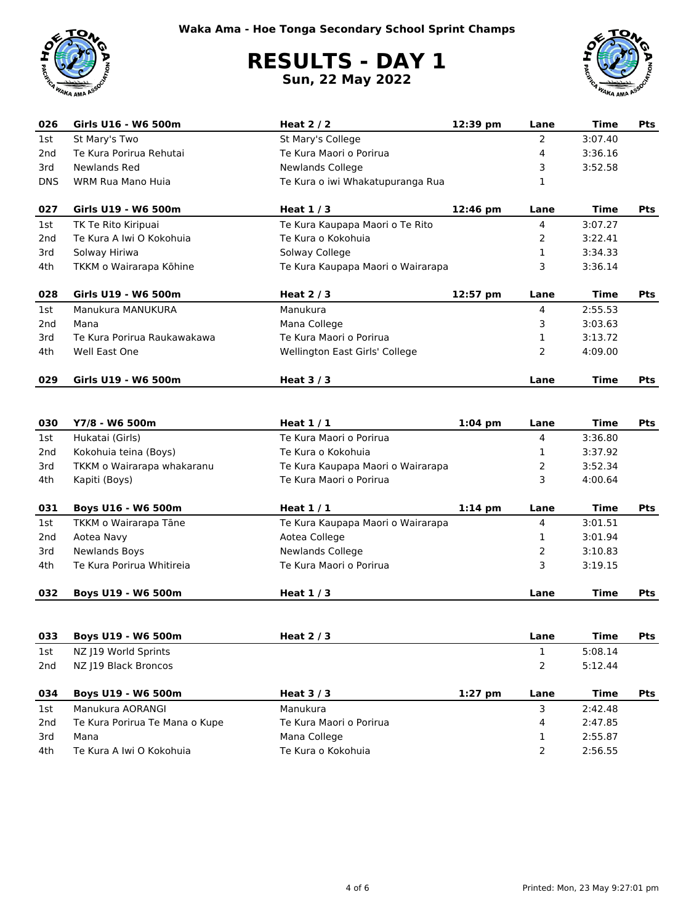

|  | <b>Sun, 22 May 2022</b> |
|--|-------------------------|
|  |                         |

| 026             | Girls U16 - W6 500m            | Heat $2/2$                        | 12:39 pm  | Lane           | <b>Time</b> | Pts        |
|-----------------|--------------------------------|-----------------------------------|-----------|----------------|-------------|------------|
| 1st             | St Mary's Two                  | St Mary's College                 |           | 2              | 3:07.40     |            |
| 2nd             | Te Kura Porirua Rehutai        | Te Kura Maori o Porirua           |           | 4              | 3:36.16     |            |
| 3rd             | Newlands Red                   | <b>Newlands College</b>           |           | 3              | 3:52.58     |            |
| <b>DNS</b>      | <b>WRM Rua Mano Huja</b>       | Te Kura o iwi Whakatupuranga Rua  |           | 1              |             |            |
| 027             | Girls U19 - W6 500m            | Heat $1/3$                        | 12:46 pm  | Lane           | Time        | Pts        |
| 1st             | TK Te Rito Kiripuai            | Te Kura Kaupapa Maori o Te Rito   |           | 4              | 3:07.27     |            |
| 2 <sub>nd</sub> | Te Kura A Iwi O Kokohuia       | Te Kura o Kokohuia                |           | 2              | 3:22.41     |            |
| 3rd             | Solway Hiriwa                  | Solway College                    |           | 1              | 3:34.33     |            |
| 4th             | TKKM o Wairarapa Kōhine        | Te Kura Kaupapa Maori o Wairarapa |           | 3              | 3:36.14     |            |
| 028             | Girls U19 - W6 500m            | Heat $2/3$                        | 12:57 pm  | Lane           | Time        | <b>Pts</b> |
| 1st             | Manukura MANUKURA              | Manukura                          |           | 4              | 2:55.53     |            |
| 2nd             | Mana                           | Mana College                      |           | 3              | 3:03.63     |            |
| 3rd             | Te Kura Porirua Raukawakawa    | Te Kura Maori o Porirua           |           | 1              | 3:13.72     |            |
| 4th             | Well East One                  | Wellington East Girls' College    |           | 2              | 4:09.00     |            |
| 029             | Girls U19 - W6 500m            | Heat $3/3$                        |           | Lane           | Time        | <b>Pts</b> |
|                 |                                |                                   |           |                |             |            |
| 030             | Y7/8 - W6 500m                 | Heat $1/1$                        | $1:04$ pm | Lane           | <b>Time</b> | Pts        |
| 1st             | Hukatai (Girls)                | Te Kura Maori o Porirua           |           | 4              | 3:36.80     |            |
| 2nd             | Kokohuia teina (Boys)          | Te Kura o Kokohuia                |           | 1              | 3:37.92     |            |
| 3rd             | TKKM o Wairarapa whakaranu     | Te Kura Kaupapa Maori o Wairarapa |           | 2              | 3:52.34     |            |
| 4th             | Kapiti (Boys)                  | Te Kura Maori o Porirua           |           | 3              | 4:00.64     |            |
| 031             | Boys U16 - W6 500m             | Heat $1/1$                        | $1:14$ pm | Lane           | <b>Time</b> | <b>Pts</b> |
| 1st             | TKKM o Wairarapa Tāne          | Te Kura Kaupapa Maori o Wairarapa |           | 4              | 3:01.51     |            |
| 2nd             | Aotea Navy                     | Aotea College                     |           | 1              | 3:01.94     |            |
| 3rd             | <b>Newlands Boys</b>           | Newlands College                  |           | 2              | 3:10.83     |            |
| 4th             | Te Kura Porirua Whitireia      | Te Kura Maori o Porirua           |           | 3              | 3:19.15     |            |
| 032             | <b>Boys U19 - W6 500m</b>      | Heat $1/3$                        |           | Lane           | <b>Time</b> | Pts        |
|                 |                                |                                   |           |                |             |            |
| 033             | Boys U19 - W6 500m             | Heat $2/3$                        |           | Lane           | <b>Time</b> | Pts        |
| 1st             | NZ J19 World Sprints           |                                   |           | $\mathbf{1}$   | 5:08.14     |            |
| 2nd             | NZ J19 Black Broncos           |                                   |           | $\overline{2}$ | 5:12.44     |            |
| 034             | Boys U19 - W6 500m             | Heat $3/3$                        | $1:27$ pm | Lane           | <b>Time</b> | <b>Pts</b> |
| 1st             | Manukura AORANGI               | Manukura                          |           | 3              | 2:42.48     |            |
| 2nd             | Te Kura Porirua Te Mana o Kupe | Te Kura Maori o Porirua           |           | 4              | 2:47.85     |            |
| 3rd             | Mana                           | Mana College                      |           | 1              | 2:55.87     |            |
| 4th             | Te Kura A Iwi O Kokohuia       | Te Kura o Kokohuia                |           | 2              | 2:56.55     |            |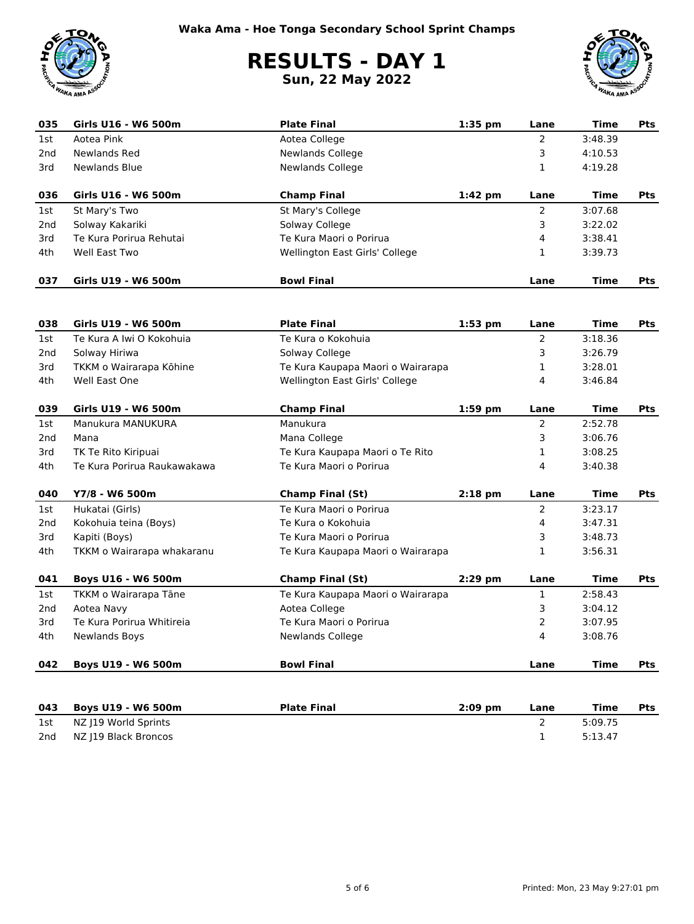



| 035             | Girls U16 - W6 500m         | <b>Plate Final</b>                | $1:35$ pm | Lane           | <b>Time</b> | Pts |
|-----------------|-----------------------------|-----------------------------------|-----------|----------------|-------------|-----|
| 1st             | Aotea Pink                  | Aotea College                     |           | 2              | 3:48.39     |     |
| 2nd             | Newlands Red                | Newlands College                  |           | 3              | 4:10.53     |     |
| 3rd             | Newlands Blue               | Newlands College                  |           | 1              | 4:19.28     |     |
| 036             | Girls U16 - W6 500m         | <b>Champ Final</b>                | $1:42$ pm | Lane           | Time        | Pts |
| 1st             | St Mary's Two               | St Mary's College                 |           | 2              | 3:07.68     |     |
| 2nd             | Solway Kakariki             | Solway College                    |           | 3              | 3:22.02     |     |
| 3rd             | Te Kura Porirua Rehutai     | Te Kura Maori o Porirua           |           | 4              | 3:38.41     |     |
| 4th             | Well East Two               | Wellington East Girls' College    |           | 1              | 3:39.73     |     |
|                 |                             |                                   |           |                |             |     |
| 037             | Girls U19 - W6 500m         | <b>Bowl Final</b>                 |           | Lane           | Time        | Pts |
| 038             | Girls U19 - W6 500m         | <b>Plate Final</b>                | $1:53$ pm | Lane           | <b>Time</b> | Pts |
| 1st             | Te Kura A Iwi O Kokohuia    | Te Kura o Kokohuia                |           | 2              | 3:18.36     |     |
| 2nd             | Solway Hiriwa               | Solway College                    |           | 3              | 3:26.79     |     |
| 3rd             | TKKM o Wairarapa Kōhine     | Te Kura Kaupapa Maori o Wairarapa |           | 1              | 3:28.01     |     |
| 4th             | Well East One               | Wellington East Girls' College    |           | 4              | 3:46.84     |     |
|                 |                             |                                   |           |                |             |     |
| 039             | Girls U19 - W6 500m         | <b>Champ Final</b>                | $1:59$ pm | Lane           | Time        | Pts |
| 1st             | Manukura MANUKURA           | Manukura                          |           | $\overline{2}$ | 2:52.78     |     |
| 2nd             | Mana                        | Mana College                      |           | 3              | 3:06.76     |     |
| 3rd             | TK Te Rito Kiripuai         | Te Kura Kaupapa Maori o Te Rito   |           | 1              | 3:08.25     |     |
| 4th             | Te Kura Porirua Raukawakawa | Te Kura Maori o Porirua           |           | 4              | 3:40.38     |     |
| 040             | Y7/8 - W6 500m              | <b>Champ Final (St)</b>           | $2:18$ pm | Lane           | Time        | Pts |
| 1st             | Hukatai (Girls)             | Te Kura Maori o Porirua           |           | $\overline{2}$ | 3:23.17     |     |
| 2 <sub>nd</sub> | Kokohuia teina (Boys)       | Te Kura o Kokohuia                |           | 4              | 3:47.31     |     |
| 3rd             | Kapiti (Boys)               | Te Kura Maori o Porirua           |           | 3              | 3:48.73     |     |
| 4th             | TKKM o Wairarapa whakaranu  | Te Kura Kaupapa Maori o Wairarapa |           | 1              | 3:56.31     |     |
| 041             | Boys U16 - W6 500m          | <b>Champ Final (St)</b>           | 2:29 pm   | Lane           | <b>Time</b> | Pts |
| 1st             | TKKM o Wairarapa Tāne       | Te Kura Kaupapa Maori o Wairarapa |           | $\mathbf{1}$   | 2:58.43     |     |
| 2nd             | Aotea Navy                  | Aotea College                     |           | 3              | 3:04.12     |     |
| 3rd             | Te Kura Porirua Whitireia   | Te Kura Maori o Porirua           |           | 2              | 3:07.95     |     |
| 4th             | <b>Newlands Boys</b>        | <b>Newlands College</b>           |           | 4              | 3:08.76     |     |
| 042             | Boys U19 - W6 500m          | <b>Bowl Final</b>                 |           | Lane           | Time        | Pts |
| 043             | Boys U19 - W6 500m          | <b>Plate Final</b>                | $2:09$ pm | Lane           | <b>Time</b> | Pts |
| 1st             | NZ J19 World Sprints        |                                   |           | $\overline{2}$ | 5:09.75     |     |
| 2nd             | NZ J19 Black Broncos        |                                   |           | $\mathbf{1}$   | 5:13.47     |     |
|                 |                             |                                   |           |                |             |     |